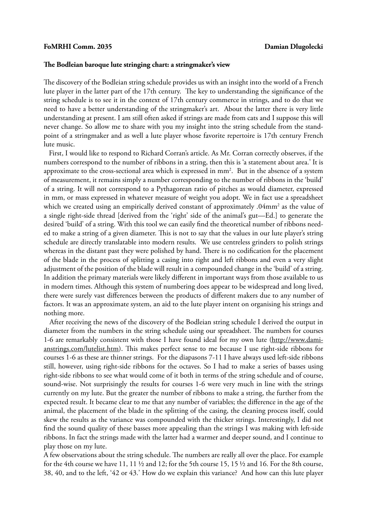## FoMRHI Comm. 2035 **Damian Dlugolecki**

## **The Bodleian baroque lute stringing chart: a stringmaker's view**

The discovery of the Bodleian string schedule provides us with an insight into the world of a French lute player in the latter part of the 17th century. The key to understanding the significance of the string schedule is to see it in the context of 17th century commerce in strings, and to do that we need to have a better understanding of the stringmaker's art. About the latter there is very little understanding at present. I am still often asked if strings are made from cats and I suppose this will never change. So allow me to share with you my insight into the string schedule from the standpoint of a stringmaker and as well a lute player whose favorite repertoire is 17th century French lute music.

 First, I would like to respond to Richard Corran's article. As Mr. Corran correctly observes, if the numbers correspond to the number of ribbons in a string, then this is 'a statement about area.' It is approximate to the cross-sectional area which is expressed in  $mm<sup>2</sup>$ . But in the absence of a system of measurement, it remains simply a number corresponding to the number of ribbons in the 'build' of a string. It will not correspond to a Pythagorean ratio of pitches as would diameter, expressed in mm, or mass expressed in whatever measure of weight you adopt. We in fact use a spreadsheet which we created using an empirically derived constant of approximately .04mm<sup>2</sup> as the value of a single right-side thread [derived from the 'right' side of the animal's gut—Ed.] to generate the desired 'build' of a string. With this tool we can easily find the theoretical number of ribbons needed to make a string of a given diameter. This is not to say that the values in our lute player's string schedule are directly translatable into modern results. We use centreless grinders to polish strings whereas in the distant past they were polished by hand. There is no codification for the placement of the blade in the process of splitting a casing into right and left ribbons and even a very slight adjustment of the position of the blade will result in a compounded change in the 'build' of a string. In addition the primary materials were likely different in important ways from those available to us in modern times. Although this system of numbering does appear to be widespread and long lived, there were surely vast differences between the products of different makers due to any number of factors. It was an approximate system, an aid to the lute player intent on organising his strings and nothing more.

 After receiving the news of the discovery of the Bodleian string schedule I derived the output in diameter from the numbers in the string schedule using our spreadsheet. The numbers for courses 1-6 are remarkably consistent with those I have found ideal for my own lute (http://www.damianstrings.com/lutelist.htm). This makes perfect sense to me because I use right-side ribbons for courses 1-6 as these are thinner strings. For the diapasons 7-11 I have always used left-side ribbons still, however, using right-side ribbons for the octaves. So I had to make a series of basses using right-side ribbons to see what would come of it both in terms of the string schedule and of course, sound-wise. Not surprisingly the results for courses 1-6 were very much in line with the strings currently on my lute. But the greater the number of ribbons to make a string, the further from the expected result. It became clear to me that any number of variables; the difference in the age of the animal, the placement of the blade in the splitting of the casing, the cleaning process itself, could skew the results as the variance was compounded with the thicker strings. Interestingly, I did not find the sound quality of these basses more appealing than the strings I was making with left-side ribbons. In fact the strings made with the latter had a warmer and deeper sound, and I continue to play those on my lute.

A few observations about the string schedule. The numbers are really all over the place. For example for the 4th course we have 11, 11 ½ and 12; for the 5th course 15, 15 ½ and 16. For the 8th course, 38, 40, and to the left, '42 or 43.' How do we explain this variance? And how can this lute player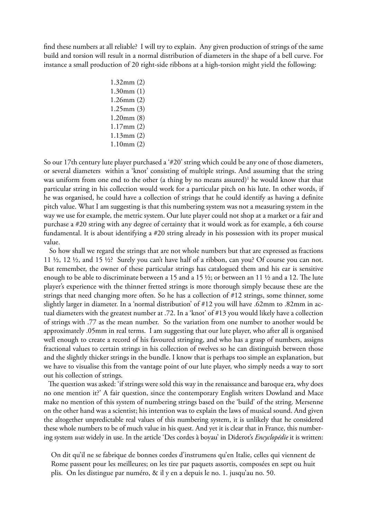find these numbers at all reliable? I will try to explain. Any given production of strings of the same build and torsion will result in a normal distribution of diameters in the shape of a bell curve. For instance a small production of 20 right-side ribbons at a high-torsion might yield the following:

> 1.32mm (2) 1.30mm (1) 1.26mm (2) 1.25mm (3) 1.20mm (8) 1.17mm (2) 1.13mm (2) 1.10mm (2)

So our 17th century lute player purchased a '#20' string which could be any one of those diameters, or several diameters within a 'knot' consisting of multiple strings. And assuming that the string was uniform from one end to the other (a thing by no means assured)<sup>1</sup> he would know that that particular string in his collection would work for a particular pitch on his lute. In other words, if he was organised, he could have a collection of strings that he could identify as having a definite pitch value. What I am suggesting is that this numbering system was not a measuring system in the way we use for example, the metric system. Our lute player could not shop at a market or a fair and purchase a #20 string with any degree of certainty that it would work as for example, a 6th course fundamental. It is about identifying a #20 string already in his possession with its proper musical value.

 So how shall we regard the strings that are not whole numbers but that are expressed as fractions 11 ½, 12 ½, and 15 ½? Surely you can't have half of a ribbon, can you? Of course you can not. But remember, the owner of these particular strings has catalogued them and his ear is sensitive enough to be able to discriminate between a 15 and a 15 ½; or between an 11 ½ and a 12. The lute player's experience with the thinner fretted strings is more thorough simply because these are the strings that need changing more often. So he has a collection of #12 strings, some thinner, some slightly larger in diameter. In a 'normal distribution' of #12 you will have .62mm to .82mm in actual diameters with the greatest number at .72. In a 'knot' of #13 you would likely have a collection of strings with .77 as the mean number. So the variation from one number to another would be approximately .05mm in real terms. I am suggesting that our lute player, who after all is organised well enough to create a record of his favoured stringing, and who has a grasp of numbers, assigns fractional values to certain strings in his collection of twelves so he can distinguish between those and the slightly thicker strings in the bundle. I know that is perhaps too simple an explanation, but we have to visualise this from the vantage point of our lute player, who simply needs a way to sort out his collection of strings.

 The question was asked: 'if strings were sold this way in the renaissance and baroque era, why does no one mention it?' A fair question, since the contemporary English writers Dowland and Mace make no mention of this system of numbering strings based on the 'build' of the string. Mersenne on the other hand was a scientist; his intention was to explain the laws of musical sound. And given the altogether unpredictable real values of this numbering system, it is unlikely that he considered these whole numbers to be of much value in his quest. And yet it is clear that in France, this numbering system *was* widely in use. In the article 'Des cordes à boyau' in Diderot's *Encyclopédie* it is written:

On dit qu'il ne se fabrique de bonnes cordes d'instrumens qu'en Italie, celles qui viennent de Rome passent pour les meilleures; on les tire par paquets assortis, composées en sept ou huit plis. On les distingue par numéro, & il y en a depuis le no. 1. jusqu'au no. 50.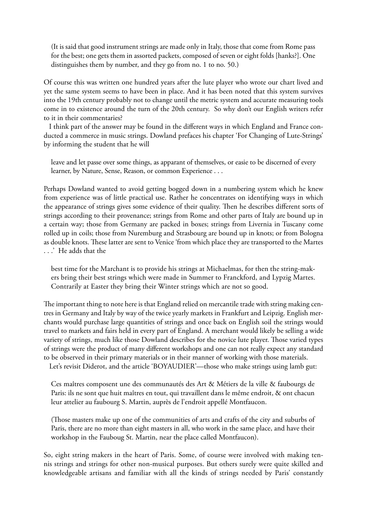(It is said that good instrument strings are made only in Italy, those that come from Rome pass for the best; one gets them in assorted packets, composed of seven or eight folds [hanks?]. One distinguishes them by number, and they go from no. 1 to no. 50.)

Of course this was written one hundred years after the lute player who wrote our chart lived and yet the same system seems to have been in place. And it has been noted that this system survives into the 19th century probably not to change until the metric system and accurate measuring tools come in to existence around the turn of the 20th century. So why don't our English writers refer to it in their commentaries?

 I think part of the answer may be found in the different ways in which England and France conducted a commerce in music strings. Dowland prefaces his chapter 'For Changing of Lute-Strings' by informing the student that he will

leave and let passe over some things, as apparant of themselves, or easie to be discerned of every learner, by Nature, Sense, Reason, or common Experience . . .

Perhaps Dowland wanted to avoid getting bogged down in a numbering system which he knew from experience was of little practical use. Rather he concentrates on identifying ways in which the appearance of strings gives some evidence of their quality. Then he describes different sorts of strings according to their provenance; strings from Rome and other parts of Italy are bound up in a certain way; those from Germany are packed in boxes; strings from Livernia in Tuscany come rolled up in coils; those from Nuremburg and Strasbourg are bound up in knots; or from Bologna as double knots. These latter are sent to Venice 'from which place they are transported to the Martes . . .' He adds that the

best time for the Marchant is to provide his strings at Michaelmas, for then the string-makers bring their best strings which were made in Summer to Franckford, and Lypzig Martes. Contrarily at Easter they bring their Winter strings which are not so good.

The important thing to note here is that England relied on mercantile trade with string making centres in Germany and Italy by way of the twice yearly markets in Frankfurt and Leipzig. English merchants would purchase large quantities of strings and once back on English soil the strings would travel to markets and fairs held in every part of England. A merchant would likely be selling a wide variety of strings, much like those Dowland describes for the novice lute player. Those varied types of strings were the product of many different workshops and one can not really expect any standard to be observed in their primary materials or in their manner of working with those materials.

Let's revisit Diderot, and the article 'BOYAUDIER'—those who make strings using lamb gut:

Ces maîtres composent une des communautés des Art & Métiers de la ville & faubourgs de Paris: ils ne sont que huit maîtres en tout, qui travaillent dans le même endroit, & ont chacun leur attelier au faubourg S. Martin, auprès de l'endroit appellé Montfaucon.

(Those masters make up one of the communities of arts and crafts of the city and suburbs of Paris, there are no more than eight masters in all, who work in the same place, and have their workshop in the Fauboug St. Martin, near the place called Montfaucon).

So, eight string makers in the heart of Paris. Some, of course were involved with making tennis strings and strings for other non-musical purposes. But others surely were quite skilled and knowledgeable artisans and familiar with all the kinds of strings needed by Paris' constantly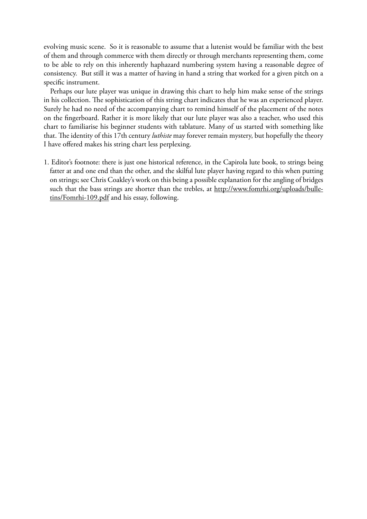evolving music scene. So it is reasonable to assume that a lutenist would be familiar with the best of them and through commerce with them directly or through merchants representing them, come to be able to rely on this inherently haphazard numbering system having a reasonable degree of consistency. But still it was a matter of having in hand a string that worked for a given pitch on a specific instrument.

 Perhaps our lute player was unique in drawing this chart to help him make sense of the strings in his collection. The sophistication of this string chart indicates that he was an experienced player. Surely he had no need of the accompanying chart to remind himself of the placement of the notes on the fingerboard. Rather it is more likely that our lute player was also a teacher, who used this chart to familiarise his beginner students with tablature. Many of us started with something like that. The identity of this 17th century *luthiste* may forever remain mystery, but hopefully the theory I have offered makes his string chart less perplexing.

1. Editor's footnote: there is just one historical reference, in the Capirola lute book, to strings being fatter at and one end than the other, and the skilful lute player having regard to this when putting on strings; see Chris Coakley's work on this being a possible explanation for the angling of bridges such that the bass strings are shorter than the trebles, at http://www.fomrhi.org/uploads/bulletins/Fomrhi-109.pdf and his essay, following.